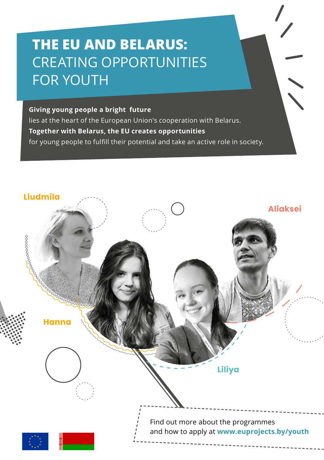# **THE EU AND BELARUS:** CREATING OPPORTUNITIES FOR YOUTH

#### **Giving young people a bright future**

lies at the heart of the European Union's cooperation with Belarus. **Together with Belarus, the EU creates opportunities** for young people to fulfill their potential and take an active role in society.

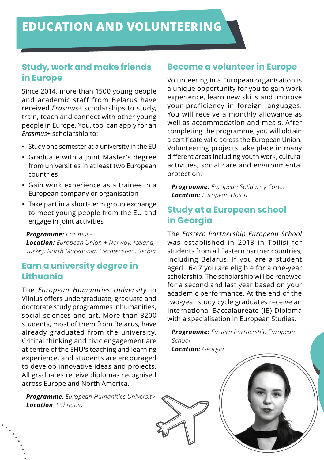## **Study, work and make friends in Europe**

Since 2014, more than 1500 young people and academic staff from Belarus have received *Erasmus+* scholarships to study, train, teach and connect with other young people in Europe. You, too, can apply for an *Erasmus+* scholarship to:

- Study one semester at a university in the EU
- Graduate with a joint Master's degree from universities in at least two European countries
- Gain work experience as a trainee in a European company or organisation
- Take part in a short-term group exchange to meet young people from the EU and engage in joint activities

#### *Programme: Erasmus+*

*Location: European Union + Norway, Iceland, Turkey, North Macedonia, Liechtenstein, Serbia*

## **Earn a university degree in Lithuania**

The *European Humanities University* in Vilnius offers undergraduate, graduate and doctorate study programmes inhumanities, social sciences and art. More than 3200 students, most of them from Belarus, have already graduated from the university. Critical thinking and civic engagement are at centre of the EHU's teaching and learning experience, and students are encouraged to develop innovative ideas and projects. All graduates receive diplomas recognised across Europe and North America.

*Programme: European Humanities University Location: Lithuania*

#### **Become a volunteer in Europe**

Volunteering in a European organisation is a unique opportunity for you to gain work experience, learn new skills and improve your proficiency in foreign languages. You will receive a monthly allowance as well as accommodation and meals. After completing the programme, you will obtain a certificate valid across the European Union. Volunteering projects take place in many different areas including youth work, cultural activities, social care and environmental protection.

*Programme: European Solidarity Corps Location: European Union*

# **Study at a European school in Georgia**

The *Eastern Partnership European School* was established in 2018 in Tbilisi for students from all Eastern partner countries, including Belarus. If you are a student aged 16-17 you are eligible for a one-year scholarship. The scholarship will be renewed for a second and last year based on your academic performance. At the end of the two-year study cycle graduates receive an International Baccalaureate (IB) Diploma with a specialisation in European Studies.

*Programme: Eastern Partnership European School*

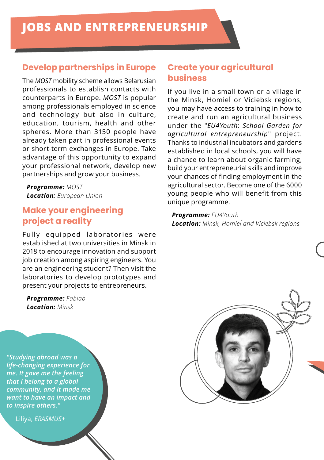#### **Develop partnerships in Europe**

The *MOST* mobility scheme allows Belarusian professionals to establish contacts with counterparts in Europe. *MOST* is popular among professionals employed in science and technology but also in culture, education, tourism, health and other spheres. More than 3150 people have already taken part in professional events or short-term exchanges in Europe. Take advantage of this opportunity to expand your professional network, develop new partnerships and grow your business.

*Programme: MOST Location: European Union*

# **Make your engineering project a reality**

Fully equipped laboratories were established at two universities in Minsk in 2018 to encourage innovation and support job creation among aspiring engineers. You are an engineering student? Then visit the laboratories to develop prototypes and present your projects to entrepreneurs.

*Programme: Fablab Location: Minsk*

*"Studying abroad was a life-changing experience for me. It gave me the feeling that I belong to a global community, and it made me want to have an impact and to inspire others."*

Liliya, *ERASMUS+*

#### **Create your agricultural business**

If you live in a small town or a village in the Minsk, Homieĺ or Viciebsk regions, you may have access to training in how to create and run an agricultural business under the "*EU4Youth*: *School Garden for agricultural entrepreneurship*" project. Thanks to industrial incubators and gardens established in local schools, you will have a chance to learn about organic farming, build your entrepreneurial skills and improve your chances of finding employment in the agricultural sector. Become one of the 6000 young people who will benefit from this unique programme.

*Programme: EU4Youth Location: Minsk, Homieĺ and Viciebsk regions*

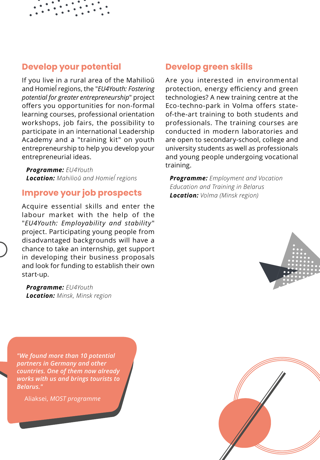#### **Develop your potential**

If you live in a rural area of the Mahilioŭ and Homieĺ regions, the "*EU4Youth: Fostering potential for greater entrepreneurship*" project offers you opportunities for non-formal learning courses, professional orientation workshops, job fairs, the possibility to participate in an international Leadership Academy and a "training kit" on youth entrepreneurship to help you develop your entrepreneurial ideas.

*Programme: EU4Youth Location: Mahilioŭ and Homieĺ regions*

#### **Improve your job prospects**

Acquire essential skills and enter the labour market with the help of the "*EU4Youth: Employability and stability*" project. Participating young people from disadvantaged backgrounds will have a chance to take an internship, get support in developing their business proposals and look for funding to establish their own start-up.

*Programme: EU4Youth Location: Minsk, Minsk region*

*"We found more than 10 potential partners in Germany and other countries. One of them now already works with us and brings tourists to Belarus."*

Aliaksei, *MOST programme*

#### **Develop green skills**

Are you interested in environmental protection, energy efficiency and green technologies? A new training centre at the Eco-techno-park in Volma offers stateof-the-art training to both students and professionals. The training courses are conducted in modern laboratories and are open to secondary-school, college and university students as well as professionals and young people undergoing vocational training.

*Programme: Employment and Vocation Education and Training in Belarus Location: Volma (Minsk region)*



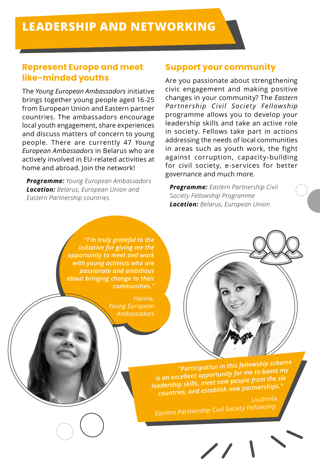# **Represent Europe and meet like-minded youths**

The *Young European Ambassadors* initiative brings together young people aged 16-25 from European Union and Eastern partner countries. The ambassadors encourage local youth engagement, share experiences and discuss matters of concern to young people. There are currently 47 *Young European Ambassadors* in Belarus who are actively involved in EU-related activities at home and abroad. Join the network!

*Programme: Young European Ambassadors Location: Belarus, European Union and Eastern Partnership countries*

#### **Support your community**

Are you passionate about strengthening civic engagement and making positive changes in your community? The *Eastern Partnership Civil Society Fellowship*  programme allows you to develop your leadership skills and take an active role in society. Fellows take part in actions addressing the needs of local communities in areas such as youth work, the fight against corruption, capacity-building for civil society, e-services for better governance and much more.

*Programme: Eastern Partnership Civil Society Fellowship Programme Location: Belarus, European Union*

*"I'm truly grateful to the initiative for giving me the opportunity to meet and work with young activists who are passionate and ambitious about bringing change to their communities."*

> Hanna, *Young European Ambassadors*



*"Participation in this fellowship scheme is an excellent opportunity for me to boost my leadership skills, meet new people from the six countries, and establish new partnerships."*

Liudmila, *Eastern Partnership Civil Society Fellowship*